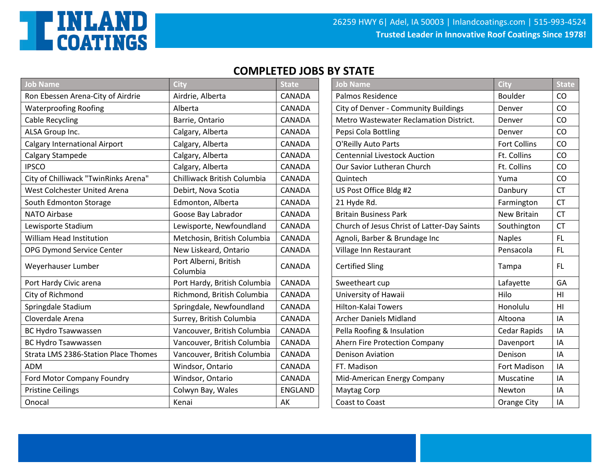

| <b>Job Name</b>                      | City                              | <b>State</b>   | <b>Job Name</b>                             | City                | <b>State</b>   |
|--------------------------------------|-----------------------------------|----------------|---------------------------------------------|---------------------|----------------|
| Ron Ebessen Arena-City of Airdrie    | Airdrie, Alberta                  | <b>CANADA</b>  | <b>Palmos Residence</b>                     | <b>Boulder</b>      | CO             |
| <b>Waterproofing Roofing</b>         | Alberta                           | CANADA         | City of Denver - Community Buildings        | Denver              | CO             |
| <b>Cable Recycling</b>               | Barrie, Ontario                   | CANADA         | Metro Wastewater Reclamation District.      | Denver              | CO             |
| ALSA Group Inc.                      | Calgary, Alberta                  | <b>CANADA</b>  | Pepsi Cola Bottling                         | Denver              | CO             |
| <b>Calgary International Airport</b> | Calgary, Alberta                  | CANADA         | O'Reilly Auto Parts                         | <b>Fort Collins</b> | CO             |
| Calgary Stampede                     | Calgary, Alberta                  | CANADA         | <b>Centennial Livestock Auction</b>         | Ft. Collins         | CO             |
| <b>IPSCO</b>                         | Calgary, Alberta                  | CANADA         | Our Savior Lutheran Church                  | Ft. Collins         | CO             |
| City of Chilliwack "TwinRinks Arena" | Chilliwack British Columbia       | CANADA         | Quintech                                    | Yuma                | CO             |
| West Colchester United Arena         | Debirt, Nova Scotia               | CANADA         | US Post Office Bldg #2                      | Danbury             | <b>CT</b>      |
| South Edmonton Storage               | Edmonton, Alberta                 | <b>CANADA</b>  | 21 Hyde Rd.                                 | Farmington          | <b>CT</b>      |
| <b>NATO Airbase</b>                  | Goose Bay Labrador                | CANADA         | <b>Britain Business Park</b>                | <b>New Britain</b>  | <b>CT</b>      |
| Lewisporte Stadium                   | Lewisporte, Newfoundland          | CANADA         | Church of Jesus Christ of Latter-Day Saints | Southington         | <b>CT</b>      |
| William Head Institution             | Metchosin, British Columbia       | CANADA         | Agnoli, Barber & Brundage Inc               | <b>Naples</b>       | FL.            |
| OPG Dymond Service Center            | New Liskeard, Ontario             | CANADA         | Village Inn Restaurant                      | Pensacola           | FL.            |
| Weyerhauser Lumber                   | Port Alberni, British<br>Columbia | <b>CANADA</b>  | <b>Certified Sling</b>                      | Tampa               | <b>FL</b>      |
| Port Hardy Civic arena               | Port Hardy, British Columbia      | CANADA         | Sweetheart cup                              | Lafayette           | GA             |
| City of Richmond                     | Richmond, British Columbia        | CANADA         | University of Hawaii                        | Hilo                | HI             |
| Springdale Stadium                   | Springdale, Newfoundland          | <b>CANADA</b>  | <b>Hilton-Kalai Towers</b>                  | Honolulu            | H <sub>l</sub> |
| Cloverdale Arena                     | Surrey, British Columbia          | CANADA         | <b>Archer Daniels Midland</b>               | Altoona             | IA             |
| <b>BC Hydro Tsawwassen</b>           | Vancouver, British Columbia       | CANADA         | Pella Roofing & Insulation                  | Cedar Rapids        | IA             |
| <b>BC Hydro Tsawwassen</b>           | Vancouver, British Columbia       | CANADA         | Ahern Fire Protection Company               | Davenport           | IA             |
| Strata LMS 2386-Station Place Thomes | Vancouver, British Columbia       | CANADA         | <b>Denison Aviation</b>                     | Denison             | IA             |
| <b>ADM</b>                           | Windsor, Ontario                  | CANADA         | FT. Madison                                 | Fort Madison        | IA             |
| Ford Motor Company Foundry           | Windsor, Ontario                  | <b>CANADA</b>  | Mid-American Energy Company                 | Muscatine           | IA             |
| <b>Pristine Ceilings</b>             | Colwyn Bay, Wales                 | <b>ENGLAND</b> | Maytag Corp                                 | Newton              | IA             |
| Onocal                               | Kenai                             | AK             | Coast to Coast                              | Orange City         | IA             |

| City                              | <b>State</b>   | <b>Job Name</b>                             | <b>City</b>         | <b>State</b> |
|-----------------------------------|----------------|---------------------------------------------|---------------------|--------------|
| Airdrie, Alberta                  | CANADA         | <b>Palmos Residence</b>                     | <b>Boulder</b>      | CO           |
| Alberta                           | CANADA         | City of Denver - Community Buildings        | Denver              | CO           |
| Barrie, Ontario                   | CANADA         | Metro Wastewater Reclamation District.      | Denver              | CO           |
| Calgary, Alberta                  | CANADA         | Pepsi Cola Bottling                         | Denver              | CO           |
| Calgary, Alberta                  | CANADA         | O'Reilly Auto Parts                         | <b>Fort Collins</b> | CO           |
| Calgary, Alberta                  | CANADA         | <b>Centennial Livestock Auction</b>         | Ft. Collins         | CO           |
| Calgary, Alberta                  | CANADA         | Our Savior Lutheran Church                  | Ft. Collins         | CO           |
| Chilliwack British Columbia       | <b>CANADA</b>  | Quintech                                    | Yuma                | CO           |
| Debirt, Nova Scotia               | CANADA         | US Post Office Bldg #2                      | Danbury             | <b>CT</b>    |
| Edmonton, Alberta                 | CANADA         | 21 Hyde Rd.                                 | Farmington          | <b>CT</b>    |
| Goose Bay Labrador                | CANADA         | <b>Britain Business Park</b>                | New Britain         | <b>CT</b>    |
| Lewisporte, Newfoundland          | CANADA         | Church of Jesus Christ of Latter-Day Saints | Southington         | <b>CT</b>    |
| Metchosin, British Columbia       | <b>CANADA</b>  | Agnoli, Barber & Brundage Inc               | <b>Naples</b>       | FL.          |
| New Liskeard, Ontario             | CANADA         | Village Inn Restaurant                      | Pensacola           | FL.          |
| Port Alberni, British<br>Columbia | CANADA         | <b>Certified Sling</b>                      | Tampa               | FL.          |
| Port Hardy, British Columbia      | CANADA         | Sweetheart cup                              | Lafayette           | GA           |
| Richmond, British Columbia        | CANADA         | University of Hawaii                        | Hilo                | HI           |
| Springdale, Newfoundland          | CANADA         | Hilton-Kalai Towers                         | Honolulu            | H1           |
| Surrey, British Columbia          | CANADA         | Archer Daniels Midland                      | Altoona             | IA           |
| Vancouver, British Columbia       | CANADA         | Pella Roofing & Insulation                  | <b>Cedar Rapids</b> | IA           |
| Vancouver, British Columbia       | CANADA         | Ahern Fire Protection Company               | Davenport           | IA           |
| Vancouver, British Columbia       | CANADA         | <b>Denison Aviation</b>                     | Denison             | IA           |
| Windsor, Ontario                  | CANADA         | FT. Madison                                 | Fort Madison        | IA           |
| Windsor, Ontario                  | CANADA         | Mid-American Energy Company                 | Muscatine           | IA           |
| Colwyn Bay, Wales                 | <b>ENGLAND</b> | <b>Maytag Corp</b>                          | Newton              | IA           |
| Kenai                             | AK             | Coast to Coast                              | Orange City         | IA           |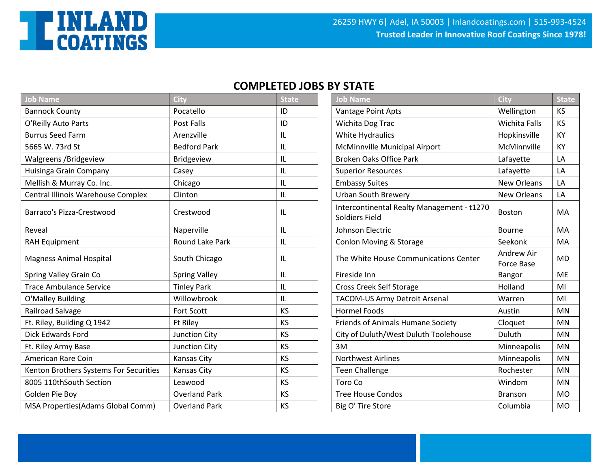

| <b>Job Name</b>                        | City                 | <b>State</b>  | <b>Job Name</b>                                              | City                     | <b>State</b> |
|----------------------------------------|----------------------|---------------|--------------------------------------------------------------|--------------------------|--------------|
| <b>Bannock County</b>                  | Pocatello            | ID            | Vantage Point Apts                                           | Wellington               | <b>KS</b>    |
| O'Reilly Auto Parts                    | Post Falls           | ID            | Wichita Dog Trac                                             | Wichita Falls            | <b>KS</b>    |
| <b>Burrus Seed Farm</b>                | Arenzville           | IL            | White Hydraulics                                             | Hopkinsville             | KY           |
| 5665 W. 73rd St                        | <b>Bedford Park</b>  | $\mathsf{II}$ | McMinnville Municipal Airport                                | McMinnville              | KY           |
| Walgreens /Bridgeview                  | <b>Bridgeview</b>    | IL            | <b>Broken Oaks Office Park</b>                               | Lafayette                | LA           |
| Huisinga Grain Company                 | Casey                | IL            | <b>Superior Resources</b>                                    | Lafayette                | LA           |
| Mellish & Murray Co. Inc.              | Chicago              | IL            | <b>Embassy Suites</b>                                        | New Orleans              | LA           |
| Central Illinois Warehouse Complex     | Clinton              | IL            | <b>Urban South Brewery</b>                                   | New Orleans              | LA           |
| Barraco's Pizza-Crestwood              | Crestwood            | IL            | Intercontinental Realty Management - t1270<br>Soldiers Field | Boston                   | MA           |
| Reveal                                 | Naperville           | IL            | Johnson Electric                                             | Bourne                   | MA           |
| <b>RAH Equipment</b>                   | Round Lake Park      | IL            | Conlon Moving & Storage                                      | Seekonk                  | MA           |
| <b>Magness Animal Hospital</b>         | South Chicago        | IL            | The White House Communications Center                        | Andrew Air<br>Force Base | <b>MD</b>    |
| Spring Valley Grain Co                 | <b>Spring Valley</b> | IL            | Fireside Inn                                                 | Bangor                   | <b>ME</b>    |
| <b>Trace Ambulance Service</b>         | <b>Tinley Park</b>   | IL            | Cross Creek Self Storage                                     | Holland                  | MI           |
| O'Malley Building                      | Willowbrook          | IL            | <b>TACOM-US Army Detroit Arsenal</b>                         | Warren                   | MI           |
| Railroad Salvage                       | <b>Fort Scott</b>    | <b>KS</b>     | <b>Hormel Foods</b>                                          | Austin                   | <b>MN</b>    |
| Ft. Riley, Building Q 1942             | <b>Ft Riley</b>      | <b>KS</b>     | Friends of Animals Humane Society                            | Cloquet                  | <b>MN</b>    |
| <b>Dick Edwards Ford</b>               | Junction City        | <b>KS</b>     | City of Duluth/West Duluth Toolehouse                        | Duluth                   | <b>MN</b>    |
| Ft. Riley Army Base                    | Junction City        | <b>KS</b>     | 3M                                                           | Minneapolis              | <b>MN</b>    |
| American Rare Coin                     | Kansas City          | KS            | <b>Northwest Airlines</b>                                    | Minneapolis              | <b>MN</b>    |
| Kenton Brothers Systems For Securities | <b>Kansas City</b>   | <b>KS</b>     | <b>Teen Challenge</b>                                        | Rochester                | <b>MN</b>    |
| 8005 110thSouth Section                | Leawood              | <b>KS</b>     | Toro Co                                                      | Windom                   | MN           |
| Golden Pie Boy                         | <b>Overland Park</b> | <b>KS</b>     | <b>Tree House Condos</b>                                     | Branson                  | <b>MO</b>    |
| MSA Properties(Adams Global Comm)      | <b>Overland Park</b> | <b>KS</b>     | Big O' Tire Store                                            | Columbia                 | <b>MO</b>    |

| <b>Job Name</b>                                              | City               | <b>State</b>   |
|--------------------------------------------------------------|--------------------|----------------|
| Vantage Point Apts                                           | Wellington         | KS             |
| Wichita Dog Trac                                             | Wichita Falls      | <b>KS</b>      |
| White Hydraulics                                             | Hopkinsville       | KY             |
| McMinnville Municipal Airport                                | McMinnville        | KY             |
| <b>Broken Oaks Office Park</b>                               | Lafayette          | LA             |
| <b>Superior Resources</b>                                    | Lafayette          | LА             |
| <b>Embassy Suites</b>                                        | <b>New Orleans</b> | LA             |
| Urban South Brewery                                          | <b>New Orleans</b> | LA             |
| Intercontinental Realty Management - t1270<br>Soldiers Field | <b>Boston</b>      | <b>MA</b>      |
| Johnson Electric                                             | <b>Bourne</b>      | MA             |
| <b>Conlon Moving &amp; Storage</b>                           | Seekonk            | MA             |
| The White House Communications Center                        | <b>Andrew Air</b>  | <b>MD</b>      |
|                                                              | <b>Force Base</b>  |                |
| Fireside Inn                                                 | Bangor             | <b>MF</b>      |
| Cross Creek Self Storage                                     | Holland            | MI             |
| <b>TACOM-US Army Detroit Arsenal</b>                         | Warren             | MI             |
| <b>Hormel Foods</b>                                          | Austin             | <b>MN</b>      |
| Friends of Animals Humane Society                            | Cloquet            | <b>MN</b>      |
| City of Duluth/West Duluth Toolehouse                        | Duluth             | <b>MN</b>      |
| 3M                                                           | Minneapolis        | <b>MN</b>      |
| <b>Northwest Airlines</b>                                    | Minneapolis        | <b>MN</b>      |
| <b>Teen Challenge</b>                                        | Rochester          | <b>MN</b>      |
| Toro Co                                                      | Windom             | <b>MN</b>      |
| <b>Tree House Condos</b>                                     | <b>Branson</b>     | <b>MO</b>      |
| Big O' Tire Store                                            | Columbia           | M <sub>O</sub> |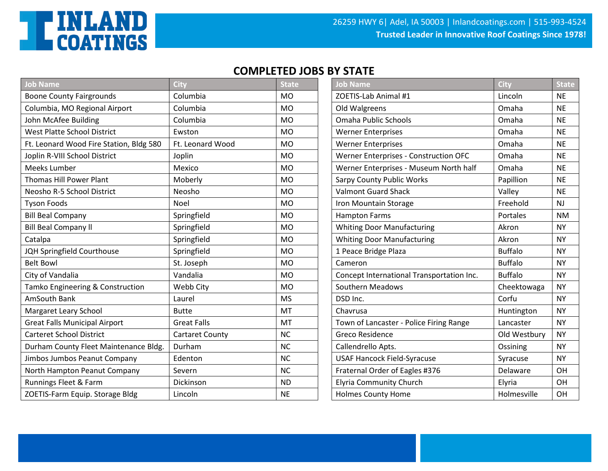

| <b>Job Name</b>                         | <b>City</b>            | <b>State</b> | <b>Job Name</b>                              | City           | <b>State</b> |
|-----------------------------------------|------------------------|--------------|----------------------------------------------|----------------|--------------|
| <b>Boone County Fairgrounds</b>         | Columbia               | <b>MO</b>    | ZOETIS-Lab Animal #1                         | Lincoln        | <b>NE</b>    |
| Columbia, MO Regional Airport           | Columbia               | <b>MO</b>    | Old Walgreens                                | Omaha          | <b>NE</b>    |
| John McAfee Building                    | Columbia               | <b>MO</b>    | <b>Omaha Public Schools</b>                  | Omaha          | <b>NE</b>    |
| <b>West Platte School District</b>      | Ewston                 | <b>MO</b>    | <b>Werner Enterprises</b>                    | Omaha          | <b>NE</b>    |
| Ft. Leonard Wood Fire Station, Bldg 580 | Ft. Leonard Wood       | <b>MO</b>    | <b>Werner Enterprises</b>                    | Omaha          | <b>NE</b>    |
| Joplin R-VIII School District           | Joplin                 | <b>MO</b>    | <b>Werner Enterprises - Construction OFC</b> | Omaha          | <b>NE</b>    |
| Meeks Lumber                            | Mexico                 | <b>MO</b>    | Werner Enterprises - Museum North half       | Omaha          | <b>NE</b>    |
| Thomas Hill Power Plant                 | Moberly                | <b>MO</b>    | <b>Sarpy County Public Works</b>             | Papillion      | <b>NE</b>    |
| Neosho R-5 School District              | Neosho                 | <b>MO</b>    | <b>Valmont Guard Shack</b>                   | Valley         | <b>NE</b>    |
| <b>Tyson Foods</b>                      | Noel                   | <b>MO</b>    | Iron Mountain Storage                        | Freehold       | <b>NJ</b>    |
| <b>Bill Beal Company</b>                | Springfield            | <b>MO</b>    | <b>Hampton Farms</b>                         | Portales       | <b>NM</b>    |
| <b>Bill Beal Company II</b>             | Springfield            | <b>MO</b>    | <b>Whiting Door Manufacturing</b>            | Akron          | <b>NY</b>    |
| Catalpa                                 | Springfield            | <b>MO</b>    | <b>Whiting Door Manufacturing</b>            | Akron          | <b>NY</b>    |
| JQH Springfield Courthouse              | Springfield            | <b>MO</b>    | 1 Peace Bridge Plaza                         | <b>Buffalo</b> | <b>NY</b>    |
| <b>Belt Bowl</b>                        | St. Joseph             | <b>MO</b>    | Cameron                                      | <b>Buffalo</b> | <b>NY</b>    |
| City of Vandalia                        | Vandalia               | <b>MO</b>    | Concept International Transportation Inc.    | <b>Buffalo</b> | <b>NY</b>    |
| Tamko Engineering & Construction        | Webb City              | <b>MO</b>    | <b>Southern Meadows</b>                      | Cheektowaga    | <b>NY</b>    |
| AmSouth Bank                            | Laurel                 | <b>MS</b>    | DSD Inc.                                     | Corfu          | <b>NY</b>    |
| Margaret Leary School                   | <b>Butte</b>           | MT           | Chavrusa                                     | Huntington     | <b>NY</b>    |
| <b>Great Falls Municipal Airport</b>    | <b>Great Falls</b>     | MT           | Town of Lancaster - Police Firing Range      | Lancaster      | <b>NY</b>    |
| <b>Carteret School District</b>         | <b>Cartaret County</b> | <b>NC</b>    | Greco Residence                              | Old Westbury   | <b>NY</b>    |
| Durham County Fleet Maintenance Bldg.   | Durham                 | <b>NC</b>    | Callendrello Apts.                           | Ossining       | <b>NY</b>    |
| Jimbos Jumbos Peanut Company            | Edenton                | <b>NC</b>    | <b>USAF Hancock Field-Syracuse</b>           | Syracuse       | <b>NY</b>    |
| North Hampton Peanut Company            | Severn                 | <b>NC</b>    | Fraternal Order of Eagles #376               | Delaware       | OH           |
| Runnings Fleet & Farm                   | Dickinson              | <b>ND</b>    | <b>Elyria Community Church</b>               | Elyria         | <b>OH</b>    |
| ZOETIS-Farm Equip. Storage Bldg         | Lincoln                | <b>NE</b>    | <b>Holmes County Home</b>                    | Holmesville    | OH           |

| <b>Job Name</b>                           | City           | <b>State</b> |
|-------------------------------------------|----------------|--------------|
| ZOETIS-Lab Animal #1                      | Lincoln        | <b>NE</b>    |
| Old Walgreens                             | Omaha          | <b>NE</b>    |
| <b>Omaha Public Schools</b>               | Omaha          | <b>NE</b>    |
| <b>Werner Enterprises</b>                 | Omaha          | <b>NE</b>    |
| <b>Werner Enterprises</b>                 | Omaha          | <b>NE</b>    |
| Werner Enterprises - Construction OFC     | Omaha          | <b>NE</b>    |
| Werner Enterprises - Museum North half    | Omaha          | <b>NE</b>    |
| <b>Sarpy County Public Works</b>          | Papillion      | <b>NE</b>    |
| <b>Valmont Guard Shack</b>                | Valley         | <b>NF</b>    |
| Iron Mountain Storage                     | Freehold       | <b>NJ</b>    |
| <b>Hampton Farms</b>                      | Portales       | <b>NM</b>    |
| <b>Whiting Door Manufacturing</b>         | Akron          | <b>NY</b>    |
| <b>Whiting Door Manufacturing</b>         | Akron          | <b>NY</b>    |
| 1 Peace Bridge Plaza                      | <b>Buffalo</b> | <b>NY</b>    |
| Cameron                                   | <b>Buffalo</b> | <b>NY</b>    |
| Concept International Transportation Inc. | <b>Buffalo</b> | <b>NY</b>    |
| Southern Meadows                          | Cheektowaga    | <b>NY</b>    |
| DSD Inc.                                  | Corfu          | <b>NY</b>    |
| Chavrusa                                  | Huntington     | <b>NY</b>    |
| Town of Lancaster - Police Firing Range   | Lancaster      | <b>NY</b>    |
| <b>Greco Residence</b>                    | Old Westbury   | <b>NY</b>    |
| Callendrello Apts.                        | Ossining       | <b>NY</b>    |
| <b>USAF Hancock Field-Syracuse</b>        | Syracuse       | <b>NY</b>    |
| Fraternal Order of Eagles #376            | Delaware       | <b>OH</b>    |
| <b>Elyria Community Church</b>            | Elyria         | <b>OH</b>    |
| <b>Holmes County Home</b>                 | Holmesville    | OH           |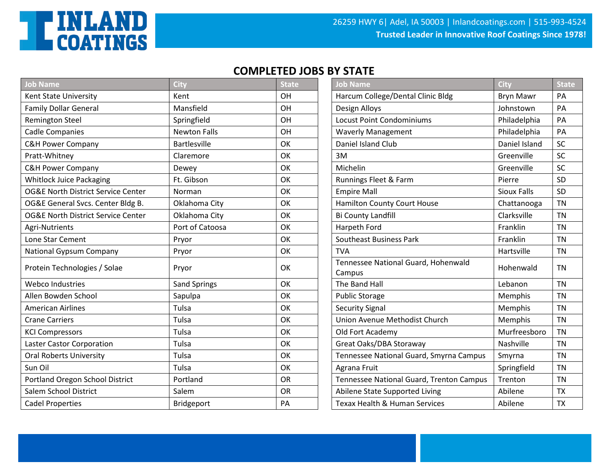

| Job Name                                      | <b>City</b>         | <b>State</b> | <b>Job Name</b>                               | City               | <b>State</b> |
|-----------------------------------------------|---------------------|--------------|-----------------------------------------------|--------------------|--------------|
| Kent State University                         | Kent                | OH           | Harcum College/Dental Clinic Bldg             | <b>Bryn Mawr</b>   | PA           |
| <b>Family Dollar General</b>                  | Mansfield           | OH           | Design Alloys                                 | Johnstown          | PA           |
| <b>Remington Steel</b>                        | Springfield         | OH           | <b>Locust Point Condominiums</b>              | Philadelphia       | PA           |
| <b>Cadle Companies</b>                        | <b>Newton Falls</b> | OH           | <b>Waverly Management</b>                     | Philadelphia       | PA           |
| <b>C&amp;H Power Company</b>                  | <b>Bartlesville</b> | OK           | <b>Daniel Island Club</b>                     | Daniel Island      | <b>SC</b>    |
| Pratt-Whitney                                 | Claremore           | OK           | 3M                                            | Greenville         | SC           |
| <b>C&amp;H Power Company</b>                  | Dewey               | OK           | Michelin                                      | Greenville         | <b>SC</b>    |
| <b>Whitlock Juice Packaging</b>               | Ft. Gibson          | OK           | Runnings Fleet & Farm                         | Pierre             | SD           |
| <b>OG&amp;E North District Service Center</b> | Norman              | OK           | <b>Empire Mall</b>                            | <b>Sioux Falls</b> | SD           |
| OG&E General Svcs. Center Bldg B.             | Oklahoma City       | OK           | <b>Hamilton County Court House</b>            | Chattanooga        | <b>TN</b>    |
| <b>OG&amp;E North District Service Center</b> | Oklahoma City       | OK           | Bi County Landfill                            | Clarksville        | <b>TN</b>    |
| Agri-Nutrients                                | Port of Catoosa     | OK           | Harpeth Ford                                  | Franklin           | <b>TN</b>    |
| Lone Star Cement                              | Pryor               | OK           | <b>Southeast Business Park</b>                | Franklin           | <b>TN</b>    |
| National Gypsum Company                       | Pryor               | OK           | <b>TVA</b>                                    | Hartsville         | <b>TN</b>    |
| Protein Technologies / Solae                  | Pryor               | OK           | Tennessee National Guard, Hohenwald<br>Campus | Hohenwald          | <b>TN</b>    |
| <b>Webco Industries</b>                       | <b>Sand Springs</b> | OK           | The Band Hall                                 | Lebanon            | <b>TN</b>    |
| Allen Bowden School                           | Sapulpa             | OK           | <b>Public Storage</b>                         | Memphis            | <b>TN</b>    |
| <b>American Airlines</b>                      | Tulsa               | OK           | <b>Security Signal</b>                        | Memphis            | <b>TN</b>    |
| <b>Crane Carriers</b>                         | Tulsa               | OK           | Union Avenue Methodist Church                 | Memphis            | <b>TN</b>    |
| <b>KCI Compressors</b>                        | Tulsa               | OK           | Old Fort Academy                              | Murfreesboro       | TN           |
| Laster Castor Corporation                     | Tulsa               | OK           | Great Oaks/DBA Storaway                       | Nashville          | <b>TN</b>    |
| <b>Oral Roberts University</b>                | Tulsa               | OK           | Tennessee National Guard, Smyrna Campus       | Smyrna             | <b>TN</b>    |
| Sun Oil                                       | Tulsa               | OK           | Agrana Fruit                                  | Springfield        | <b>TN</b>    |
| Portland Oregon School District               | Portland            | OR           | Tennessee National Guard, Trenton Campus      | Trenton            | <b>TN</b>    |
| Salem School District                         | Salem               | <b>OR</b>    | Abilene State Supported Living                | Abilene            | <b>TX</b>    |
| <b>Cadel Properties</b>                       | Bridgeport          | PA           | Texax Health & Human Services                 | Abilene            | <b>TX</b>    |

| <b>Job Name</b>                               | <b>City</b>        | <b>State</b> |
|-----------------------------------------------|--------------------|--------------|
| Harcum College/Dental Clinic Bldg             | <b>Bryn Mawr</b>   | PA           |
| Design Alloys                                 | Johnstown          | PA           |
| <b>Locust Point Condominiums</b>              | Philadelphia       | PA           |
| <b>Waverly Management</b>                     | Philadelphia       | PA           |
| Daniel Island Club                            | Daniel Island      | SC           |
| 3M                                            | Greenville         | SC           |
| Michelin                                      | Greenville         | <b>SC</b>    |
| Runnings Fleet & Farm                         | Pierre             | <b>SD</b>    |
| <b>Empire Mall</b>                            | <b>Sioux Falls</b> | <b>SD</b>    |
| <b>Hamilton County Court House</b>            | Chattanooga        | <b>TN</b>    |
| <b>Bi County Landfill</b>                     | Clarksville        | <b>TN</b>    |
| Harpeth Ford                                  | Franklin           | <b>TN</b>    |
| <b>Southeast Business Park</b>                | Franklin           | <b>TN</b>    |
| <b>TVA</b>                                    | Hartsville         | <b>TN</b>    |
| Tennessee National Guard, Hohenwald<br>Campus | Hohenwald          | <b>TN</b>    |
| The Band Hall                                 | Lebanon            | <b>TN</b>    |
| <b>Public Storage</b>                         | Memphis            | <b>TN</b>    |
| <b>Security Signal</b>                        | Memphis            | <b>TN</b>    |
| Union Avenue Methodist Church                 | Memphis            | <b>TN</b>    |
| Old Fort Academy                              | Murfreesboro       | <b>TN</b>    |
| Great Oaks/DBA Storaway                       | Nashville          | <b>TN</b>    |
| Tennessee National Guard, Smyrna Campus       | Smyrna             | <b>TN</b>    |
| Agrana Fruit                                  | Springfield        | <b>TN</b>    |
| Tennessee National Guard, Trenton Campus      | Trenton            | <b>TN</b>    |
| Abilene State Supported Living                | Abilene            | <b>TX</b>    |
| <b>Texax Health &amp; Human Services</b>      | Abilene            | <b>TX</b>    |